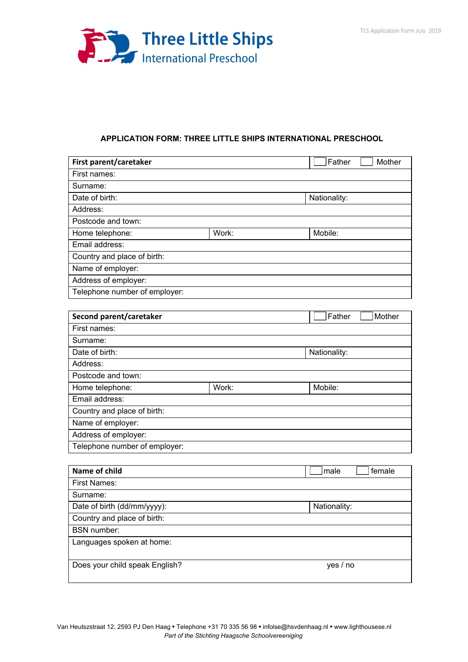

## **APPLICATION FORM: THREE LITTLE SHIPS INTERNATIONAL PRESCHOOL**

| First parent/caretaker         |       | Father<br>Mother |
|--------------------------------|-------|------------------|
| First names:                   |       |                  |
| Surname:                       |       |                  |
| Date of birth:                 |       | Nationality:     |
| Address:                       |       |                  |
| Postcode and town:             |       |                  |
| Home telephone:                | Work: | Mobile:          |
| Email address:                 |       |                  |
| Country and place of birth:    |       |                  |
| Name of employer:              |       |                  |
| Address of employer:           |       |                  |
| Telephone number of employer:  |       |                  |
|                                |       |                  |
| Second parent/caretaker        |       | Father<br>Mother |
| First names:                   |       |                  |
| Surname:                       |       |                  |
| Date of birth:<br>Nationality: |       |                  |
| Address:                       |       |                  |
| Postcode and town:             |       |                  |
| Home telephone:                | Work: | Mobile:          |
| Email address:                 |       |                  |
| Country and place of birth:    |       |                  |
| Name of employer:              |       |                  |
| Address of employer:           |       |                  |
| Telephone number of employer:  |       |                  |
|                                |       |                  |
| <b>Name of child</b>           |       | female<br>male   |
| <b>First Names:</b>            |       |                  |
| Surname:                       |       |                  |

Date of birth (dd/mm/yyyy): Nationality:

Does your child speak English? yes / no

Country and place of birth:

Languages spoken at home:

BSN number: